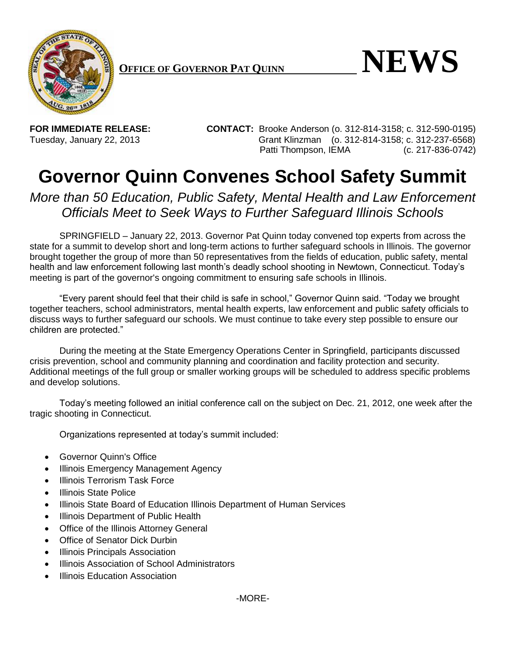

 $\bullet$  **NEWS** 

**FOR IMMEDIATE RELEASE: CONTACT:** Brooke Anderson (o. 312-814-3158; c. 312-590-0195) Tuesday, January 22, 2013 Grant Klinzman (o. 312-814-3158; c. 312-237-6568) Patti Thompson, IEMA (c. 217-836-0742)

## **Governor Quinn Convenes School Safety Summit**

## *More than 50 Education, Public Safety, Mental Health and Law Enforcement Officials Meet to Seek Ways to Further Safeguard Illinois Schools*

SPRINGFIELD – January 22, 2013. Governor Pat Quinn today convened top experts from across the state for a summit to develop short and long-term actions to further safeguard schools in Illinois. The governor brought together the group of more than 50 representatives from the fields of education, public safety, mental health and law enforcement following last month's deadly school shooting in Newtown, Connecticut. Today's meeting is part of the governor's ongoing commitment to ensuring safe schools in Illinois.

"Every parent should feel that their child is safe in school," Governor Quinn said. "Today we brought together teachers, school administrators, mental health experts, law enforcement and public safety officials to discuss ways to further safeguard our schools. We must continue to take every step possible to ensure our children are protected."

During the meeting at the State Emergency Operations Center in Springfield, participants discussed crisis prevention, school and community planning and coordination and facility protection and security. Additional meetings of the full group or smaller working groups will be scheduled to address specific problems and develop solutions.

Today's meeting followed an initial conference call on the subject on Dec. 21, 2012, one week after the tragic shooting in Connecticut.

Organizations represented at today's summit included:

- Governor Quinn's Office
- Illinois Emergency Management Agency
- Illinois Terrorism Task Force
- Illinois State Police
- Illinois State Board of Education Illinois Department of Human Services
- Illinois Department of Public Health
- Office of the Illinois Attorney General
- Office of Senator Dick Durbin
- Illinois Principals Association
- Illinois Association of School Administrators
- Illinois Education Association